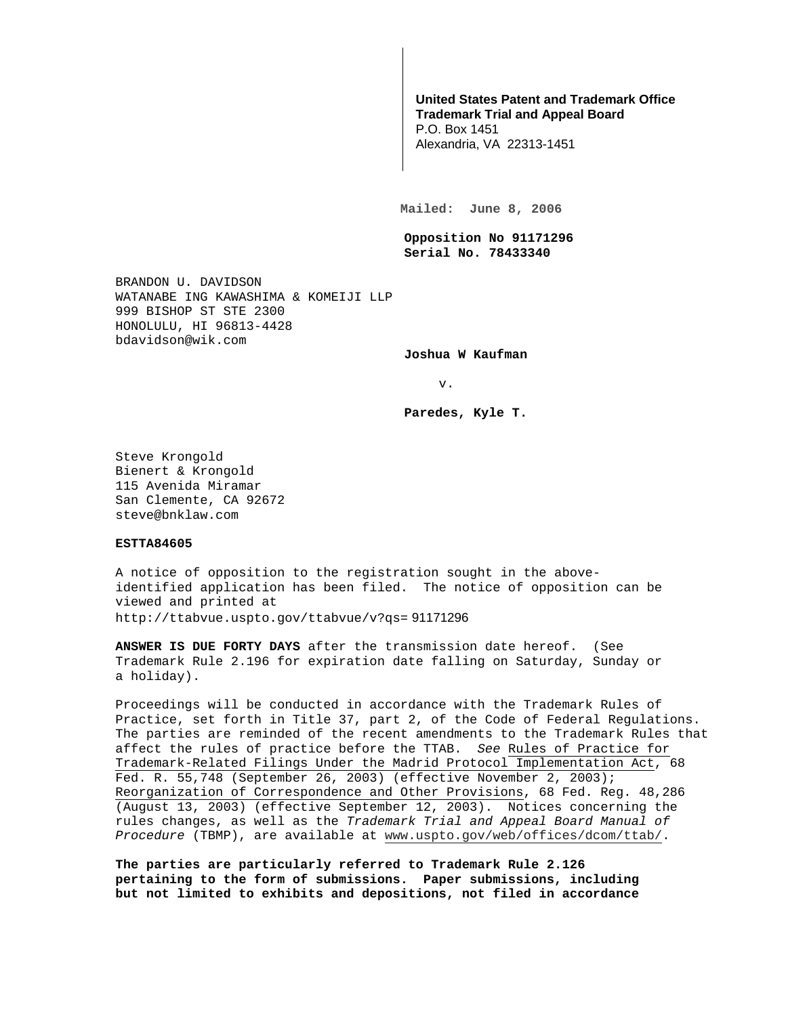## **United States Patent and Trademark Office Trademark Trial and Appeal Board**

P.O. Box 1451 Alexandria, VA 22313-1451

**Mailed: June 8, 2006** 

**Opposition No 91171296 Serial No. 78433340** 

BRANDON U. DAVIDSON WATANABE ING KAWASHIMA & KOMEIJI LLP 999 BISHOP ST STE 2300 HONOLULU, HI 96813-4428 bdavidson@wik.com

**Joshua W Kaufman** 

v.

**Paredes, Kyle T.** 

Steve Krongold Bienert & Krongold 115 Avenida Miramar San Clemente, CA 92672 steve@bnklaw.com

## **ESTTA84605**

A notice of opposition to the registration sought in the aboveidentified application has been filed. The notice of opposition can be viewed and printed at http://ttabvue.uspto.gov/ttabvue/v?qs= 91171296

**ANSWER IS DUE FORTY DAYS** after the transmission date hereof. (See Trademark Rule 2.196 for expiration date falling on Saturday, Sunday or a holiday).

Proceedings will be conducted in accordance with the Trademark Rules of Practice, set forth in Title 37, part 2, of the Code of Federal Regulations. The parties are reminded of the recent amendments to the Trademark Rules that affect the rules of practice before the TTAB. See Rules of Practice for Trademark-Related Filings Under the Madrid Protocol Implementation Act, 68 Fed. R. 55,748 (September 26, 2003) (effective November 2, 2003); Reorganization of Correspondence and Other Provisions, 68 Fed. Reg. 48,286 (August 13, 2003) (effective September 12, 2003). Notices concerning the rules changes, as well as the Trademark Trial and Appeal Board Manual of Procedure (TBMP), are available at www.uspto.gov/web/offices/dcom/ttab/.

**The parties are particularly referred to Trademark Rule 2.126 pertaining to the form of submissions. Paper submissions, including but not limited to exhibits and depositions, not filed in accordance**